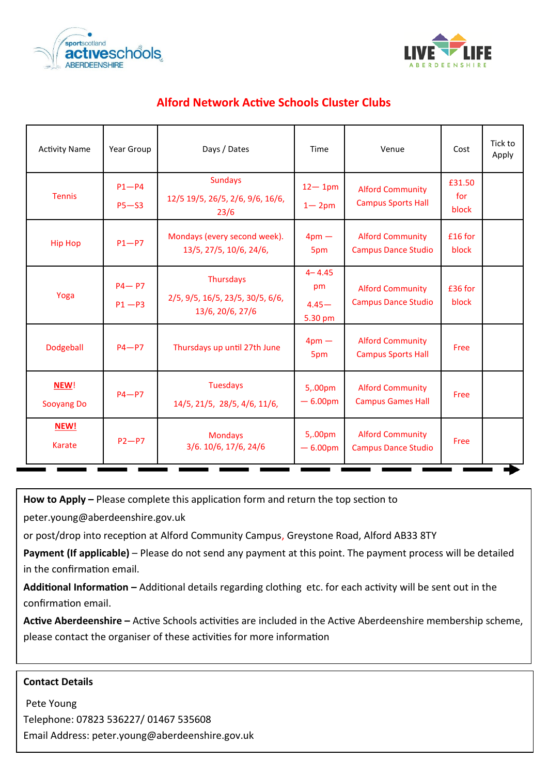



# **Alford Network Active Schools Cluster Clubs**

| <b>Activity Name</b>  | Year Group             | Days / Dates                                                      | Time                                    | Venue                                                 | Cost                   | Tick to<br>Apply |
|-----------------------|------------------------|-------------------------------------------------------------------|-----------------------------------------|-------------------------------------------------------|------------------------|------------------|
| <b>Tennis</b>         | $P1-P4$<br>$P5 - S3$   | <b>Sundays</b><br>12/5 19/5, 26/5, 2/6, 9/6, 16/6,<br>23/6        | $12 - 1$ pm<br>$1 - 2pm$                | <b>Alford Community</b><br><b>Campus Sports Hall</b>  | £31.50<br>for<br>block |                  |
| <b>Hip Hop</b>        | $P1-P7$                | Mondays (every second week).<br>13/5, 27/5, 10/6, 24/6,           | 4 <sub>pm</sub><br>5pm                  | <b>Alford Community</b><br><b>Campus Dance Studio</b> | £16 for<br>block       |                  |
| Yoga                  | $P4 - P7$<br>$P1 - P3$ | Thursdays<br>2/5, 9/5, 16/5, 23/5, 30/5, 6/6,<br>13/6, 20/6, 27/6 | $4 - 4.45$<br>pm<br>$4.45 -$<br>5.30 pm | <b>Alford Community</b><br><b>Campus Dance Studio</b> | £36 for<br>block       |                  |
| Dodgeball             | $P4 - P7$              | Thursdays up until 27th June                                      | $4 \text{pm} -$<br>5pm                  | <b>Alford Community</b><br><b>Campus Sports Hall</b>  | Free                   |                  |
| NEW!<br>Sooyang Do    | $P4 - P7$              | <b>Tuesdays</b><br>14/5, 21/5, 28/5, 4/6, 11/6,                   | 5,.00pm<br>$-6.00pm$                    | <b>Alford Community</b><br><b>Campus Games Hall</b>   | Free                   |                  |
| NEW!<br><b>Karate</b> | $P2-P7$                | <b>Mondays</b><br>3/6. 10/6, 17/6, 24/6                           | 5,.00pm<br>$-6.00pm$                    | <b>Alford Community</b><br><b>Campus Dance Studio</b> | Free                   |                  |

**How to Apply –** Please complete this application form and return the top section to

peter.young@aberdeenshire.gov.uk

or post/drop into reception at Alford Community Campus, Greystone Road, Alford AB33 8TY

**Payment (If applicable)** – Please do not send any payment at this point. The payment process will be detailed in the confirmation email.

**Additional Information –** Additional details regarding clothing etc. for each activity will be sent out in the confirmation email.

**Active Aberdeenshire –** Active Schools activities are included in the Active Aberdeenshire membership scheme, please contact the organiser of these activities for more information

## **Contact Details**

Pete Young Telephone: 07823 536227/ 01467 535608 Email Address: peter.young@aberdeenshire.gov.uk